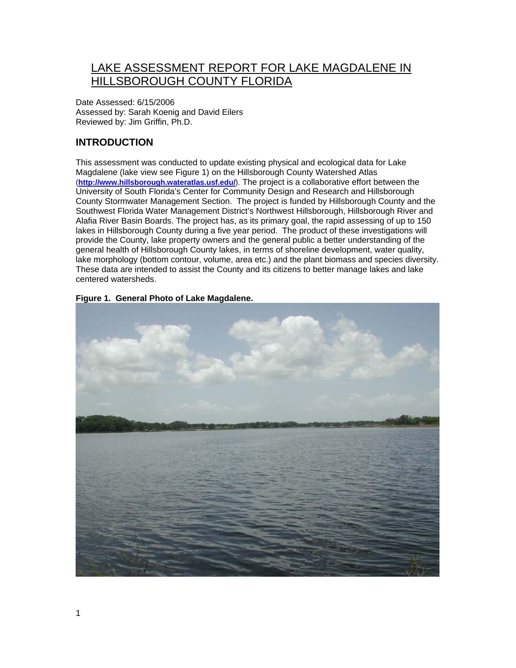# LAKE ASSESSMENT REPORT FOR LAKE MAGDALENE IN HILLSBOROUGH COUNTY FLORIDA

Date Assessed: 6/15/2006 Assessed by: Sarah Koenig and David Eilers Reviewed by: Jim Griffin, Ph.D.

# **INTRODUCTION**

This assessment was conducted to update existing physical and ecological data for Lake Magdalene (lake view see Figure 1) on the Hillsborough County Watershed Atlas (**<http://www.hillsborough.wateratlas.usf.edu/>**). The project is a collaborative effort between the University of South Florida's Center for Community Design and Research and Hillsborough County Stormwater Management Section. The project is funded by Hillsborough County and the Southwest Florida Water Management District's Northwest Hillsborough, Hillsborough River and Alafia River Basin Boards. The project has, as its primary goal, the rapid assessing of up to 150 lakes in Hillsborough County during a five year period. The product of these investigations will provide the County, lake property owners and the general public a better understanding of the general health of Hillsborough County lakes, in terms of shoreline development, water quality, lake morphology (bottom contour, volume, area etc.) and the plant biomass and species diversity. These data are intended to assist the County and its citizens to better manage lakes and lake centered watersheds.



**Figure 1. General Photo of Lake Magdalene.**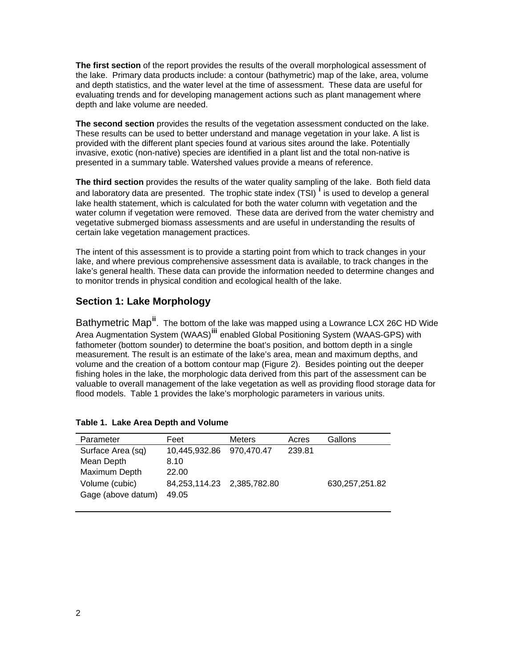**The first section** of the report provides the results of the overall morphological assessment of the lake. Primary data products include: a contour (bathymetric) map of the lake, area, volume and depth statistics, and the water level at the time of assessment. These data are useful for evaluating trends and for developing management actions such as plant management where depth and lake volume are needed.

**The second section** provides the results of the vegetation assessment conducted on the lake. These results can be used to better understand and manage vegetation in your lake. A list is provided with the different plant species found at various sites around the lake. Potentially invasive, exotic (non-native) species are identified in a plant list and the total non-native is presented in a summary table. Watershed values provide a means of reference.

**The third section** provides the results of the water quality sampling of the lake. Both field data and laboratory data are presented. The troph[i](#page-15-0)c state index (TSI) <sup>i</sup> is used to develop a general lake health statement, which is calculated for both the water column with vegetation and the water column if vegetation were removed. These data are derived from the water chemistry and vegetative submerged biomass assessments and are useful in understanding the results of certain lake vegetation management practices.

The intent of this assessment is to provide a starting point from which to track changes in your lake, and where previous comprehensive assessment data is available, to track changes in the lake's general health. These data can provide the information needed to determine changes and to monitor trends in physical condition and ecological health of the lake.

# **Section 1: Lake Morphology**

Bathymetric Map**[ii](#page-15-1)**. The bottom of the lake was mapped using a Lowrance LCX 26C HD Wide Area Augmentation System (WAAS)**[iii](#page-15-1)** enabled Global Positioning System (WAAS-GPS) with fathometer (bottom sounder) to determine the boat's position, and bottom depth in a single measurement. The result is an estimate of the lake's area, mean and maximum depths, and volume and the creation of a bottom contour map (Figure 2). Besides pointing out the deeper fishing holes in the lake, the morphologic data derived from this part of the assessment can be valuable to overall management of the lake vegetation as well as providing flood storage data for flood models. Table 1 provides the lake's morphologic parameters in various units.

| Parameter          | Feet                       | <b>Meters</b> | Acres  | Gallons          |
|--------------------|----------------------------|---------------|--------|------------------|
| Surface Area (sq)  | 10,445,932.86              | 970,470.47    | 239.81 |                  |
| Mean Depth         | 8.10                       |               |        |                  |
| Maximum Depth      | 22.00                      |               |        |                  |
| Volume (cubic)     | 84,253,114.23 2,385,782.80 |               |        | 630, 257, 251.82 |
| Gage (above datum) | 49.05                      |               |        |                  |
|                    |                            |               |        |                  |

### **Table 1. Lake Area Depth and Volume**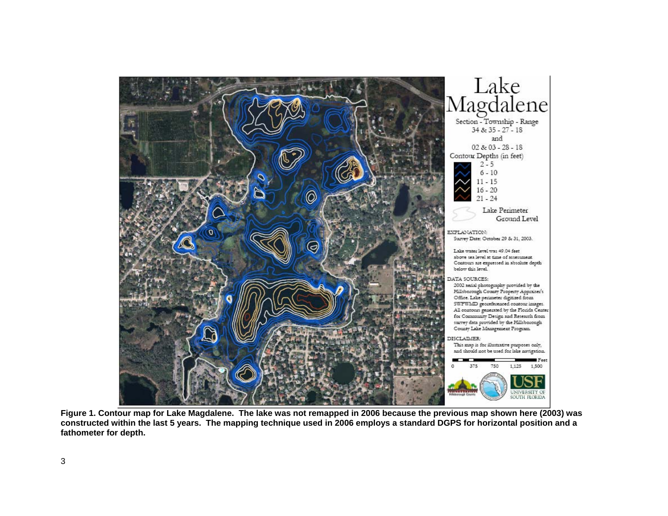

**Figure 1. Contour map for Lake Magdalene. The lake was not remapped in 2006 because the previous map shown here (2003) was constructed within the last 5 years. The mapping technique used in 2006 employs a standard DGPS for horizontal position and a fathometer for depth.**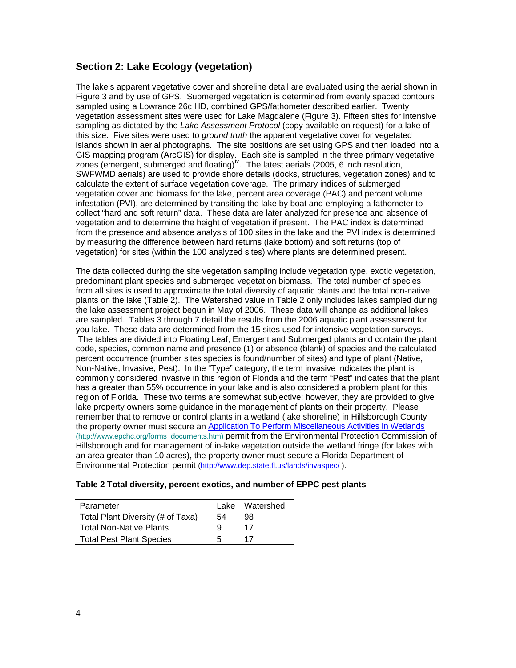### **Section 2: Lake Ecology (vegetation)**

The lake's apparent vegetative cover and shoreline detail are evaluated using the aerial shown in Figure 3 and by use of GPS. Submerged vegetation is determined from evenly spaced contours sampled using a Lowrance 26c HD, combined GPS/fathometer described earlier. Twenty vegetation assessment sites were used for Lake Magdalene (Figure 3). Fifteen sites for intensive sampling as dictated by the *Lake Assessment Protocol* (copy available on request) for a lake of this size. Five sites were used to *ground truth* the apparent vegetative cover for vegetated islands shown in aerial photographs. The site positions are set using GPS and then loaded into a GIS mapping program (ArcGIS) for display. Each site is sampled in the three primary vegetative zones (emergent, submerged and floating)<sup>[iv](#page-15-2)</sup>. The latest aerials (2005, 6 inch resolution, SWFWMD aerials) are used to provide shore details (docks, structures, vegetation zones) and to calculate the extent of surface vegetation coverage. The primary indices of submerged vegetation cover and biomass for the lake, percent area coverage (PAC) and percent volume infestation (PVI), are determined by transiting the lake by boat and employing a fathometer to collect "hard and soft return" data. These data are later analyzed for presence and absence of vegetation and to determine the height of vegetation if present. The PAC index is determined from the presence and absence analysis of 100 sites in the lake and the PVI index is determined by measuring the difference between hard returns (lake bottom) and soft returns (top of vegetation) for sites (within the 100 analyzed sites) where plants are determined present.

The data collected during the site vegetation sampling include vegetation type, exotic vegetation, predominant plant species and submerged vegetation biomass. The total number of species from all sites is used to approximate the total diversity of aquatic plants and the total non-native plants on the lake (Table 2). The Watershed value in Table 2 only includes lakes sampled during the lake assessment project begun in May of 2006. These data will change as additional lakes are sampled. Tables 3 through 7 detail the results from the 2006 aquatic plant assessment for you lake. These data are determined from the 15 sites used for intensive vegetation surveys. The tables are divided into Floating Leaf, Emergent and Submerged plants and contain the plant code, species, common name and presence (1) or absence (blank) of species and the calculated percent occurrence (number sites species is found/number of sites) and type of plant (Native, Non-Native, Invasive, Pest). In the "Type" category, the term invasive indicates the plant is commonly considered invasive in this region of Florida and the term "Pest" indicates that the plant has a greater than 55% occurrence in your lake and is also considered a problem plant for this region of Florida. These two terms are somewhat subjective; however, they are provided to give lake property owners some guidance in the management of plants on their property. Please remember that to remove or control plants in a wetland (lake shoreline) in Hillsborough County the property owner must secure an [Application To Perform Miscellaneous Activities In Wetlands](http://www.epchc.org/PDF%20Wetlands%20Forms/MAIW%20application%20for%20all%20types%20of%20impacts%20VIP%20-%20July%202006.pdf) (http://www.epchc.org/forms\_documents.htm) permit from the Environmental Protection Commission of Hillsborough and for management of in-lake vegetation outside the wetland fringe (for lakes with an area greater than 10 acres), the property owner must secure a Florida Department of Environmental Protection permit [\(http://www.dep.state.fl.us/lands/invaspec/](http://www.dep.state.fl.us/lands/invaspec/) ).

### **Table 2 Total diversity, percent exotics, and number of EPPC pest plants**

| Parameter                         |    | Lake Watershed |
|-----------------------------------|----|----------------|
| Total Plant Diversity (# of Taxa) | 54 | 98             |
| <b>Total Non-Native Plants</b>    | Q  | 17             |
| <b>Total Pest Plant Species</b>   | h  | 17             |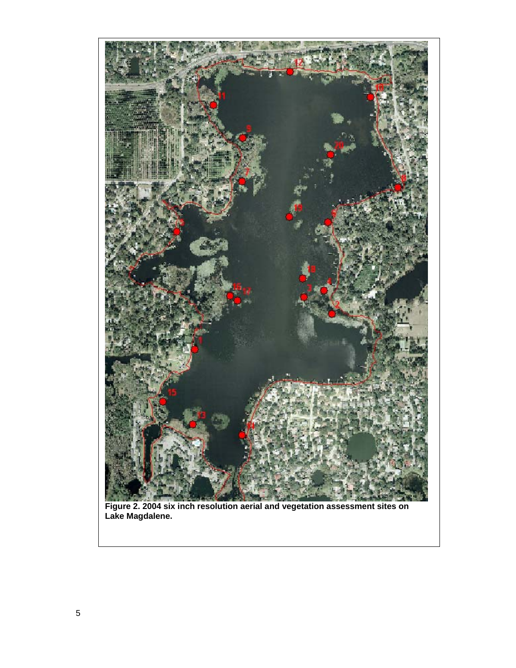

**Figure 2. 2004 six inch resolution aerial and vegetation assessment sites on Lake Magdalene.**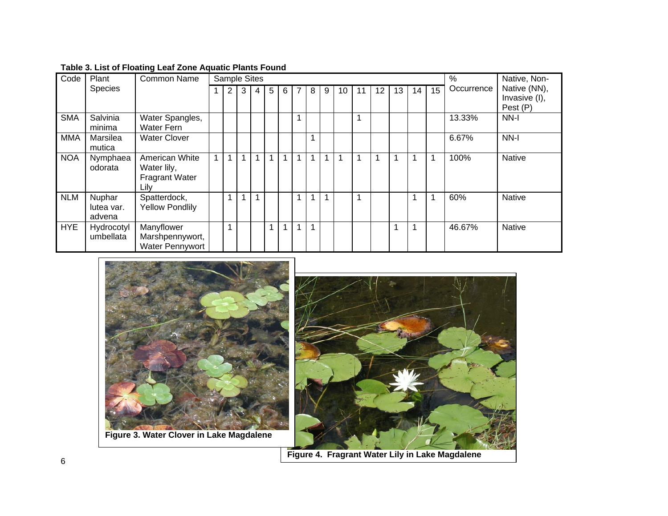| Code       | Plant                          | Common Name                                                    | <b>Sample Sites</b> |   |                |   |   |   |   |             |              |    |    | %  | Native, Non- |    |    |            |                               |
|------------|--------------------------------|----------------------------------------------------------------|---------------------|---|----------------|---|---|---|---|-------------|--------------|----|----|----|--------------|----|----|------------|-------------------------------|
|            | <b>Species</b>                 |                                                                |                     | 2 | 3 <sup>1</sup> | 4 | 5 | 6 | 7 | 8           | 9            | 10 | 11 | 12 | 13           | 14 | 15 | Occurrence | Native (NN),<br>Invasive (I), |
|            |                                |                                                                |                     |   |                |   |   |   |   |             |              |    |    |    |              |    |    |            | Pest (P)                      |
| <b>SMA</b> | Salvinia<br>minima             | Water Spangles,<br>Water Fern                                  |                     |   |                |   |   |   |   |             |              |    | 1  |    |              |    |    | 13.33%     | NN-I                          |
| <b>MMA</b> | Marsilea<br>mutica             | <b>Water Clover</b>                                            |                     |   |                |   |   |   |   |             |              |    |    |    |              |    |    | 6.67%      | NN-I                          |
| <b>NOA</b> | Nymphaea<br>odorata            | American White<br>Water lily,<br><b>Fragrant Water</b><br>Lily |                     |   | 1              | 1 |   |   |   |             | 1            | 1  |    |    | 1            |    |    | 100%       | <b>Native</b>                 |
| <b>NLM</b> | Nuphar<br>lutea var.<br>advena | Spatterdock,<br><b>Yellow Pondlily</b>                         |                     |   | 1              | 1 |   |   |   | $\mathbf 1$ | $\mathbf{1}$ |    | 1  |    |              | 1  |    | 60%        | <b>Native</b>                 |
| <b>HYE</b> | Hydrocotyl<br>umbellata        | Manyflower<br>Marshpennywort,<br><b>Water Pennywort</b>        |                     |   |                |   | 1 | 1 |   | 1           |              |    |    |    | 1            | 1  |    | 46.67%     | <b>Native</b>                 |

# **Table 3. List of Floating Leaf Zone Aquatic Plants Found**





**Figure 4. Fragrant Water Lily in Lake Magdalene**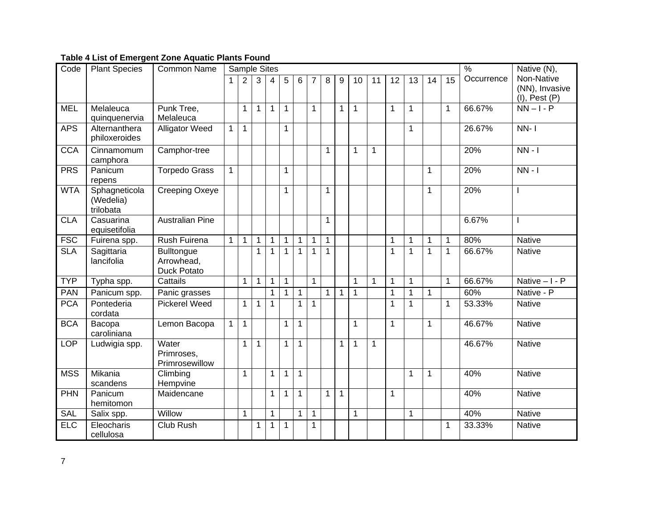### **Table 4 List of Emergent Zone Aquatic Plants Found**

| Code       | <b>Plant Species</b>                    | <b>Common Name</b>                                    | Sample Sites |                |                |                |              |              |                |              |              |              | $\frac{0}{6}$ | Native $(N)$ ,  |              |    |                 |            |                              |
|------------|-----------------------------------------|-------------------------------------------------------|--------------|----------------|----------------|----------------|--------------|--------------|----------------|--------------|--------------|--------------|---------------|-----------------|--------------|----|-----------------|------------|------------------------------|
|            |                                         |                                                       | $\mathbf 1$  | $\overline{2}$ | $\overline{3}$ | $\overline{4}$ | 5            | 6            | $\overline{7}$ | 8            | 9            | 10           | 11            | $\overline{12}$ | 13           | 14 | $\overline{15}$ | Occurrence | Non-Native<br>(NN), Invasive |
|            |                                         |                                                       |              |                |                |                |              |              |                |              |              |              |               |                 |              |    |                 |            | $(I)$ , Pest $(P)$           |
| <b>MEL</b> | Melaleuca<br>quinquenervia              | Punk Tree,<br>Melaleuca                               |              | 1              | $\mathbf 1$    | $\mathbf 1$    | $\mathbf 1$  |              | $\mathbf 1$    |              | 1            | 1            |               | $\mathbf 1$     | 1            |    | $\mathbf{1}$    | 66.67%     | $NN - I - P$                 |
| <b>APS</b> | Alternanthera<br>philoxeroides          | <b>Alligator Weed</b>                                 | $\mathbf{1}$ | 1              |                |                | 1            |              |                |              |              |              |               |                 | 1            |    |                 | 26.67%     | $NN-1$                       |
| <b>CCA</b> | Cinnamomum<br>camphora                  | Camphor-tree                                          |              |                |                |                |              |              |                | 1            |              | 1            | 1             |                 |              |    |                 | 20%        | $NN - 1$                     |
| PRS        | Panicum<br>repens                       | <b>Torpedo Grass</b>                                  | $\mathbf{1}$ |                |                |                | $\mathbf{1}$ |              |                |              |              |              |               |                 |              | 1  |                 | 20%        | $NN - I$                     |
| <b>WTA</b> | Sphagneticola<br>(Wedelia)<br>trilobata | <b>Creeping Oxeye</b>                                 |              |                |                |                | 1            |              |                | $\mathbf{1}$ |              |              |               |                 |              | 1  |                 | 20%        |                              |
| <b>CLA</b> | Casuarina<br>equisetifolia              | <b>Australian Pine</b>                                |              |                |                |                |              |              |                | 1            |              |              |               |                 |              |    |                 | 6.67%      | ı                            |
| FSC        | Fuirena spp.                            | Rush Fuirena                                          | $\mathbf{1}$ | $\mathbf{1}$   | $\mathbf 1$    | $\mathbf{1}$   | $\mathbf{1}$ | 1            | 1              | $\mathbf 1$  |              |              |               | 1               | 1            | 1  | 1               | 80%        | Native                       |
| <b>SLA</b> | Sagittaria<br>lancifolia                | <b>Bulltongue</b><br>Arrowhead,<br><b>Duck Potato</b> |              |                | $\mathbf 1$    | $\mathbf{1}$   | $\mathbf{1}$ | $\mathbf{1}$ | $\mathbf{1}$   | $\mathbf 1$  |              |              |               | 1               | 1            | 1  | $\mathbf{1}$    | 66.67%     | <b>Native</b>                |
| <b>TYP</b> | Typha spp.                              | Cattails                                              |              | $\mathbf{1}$   | $\mathbf{1}$   | $\mathbf{1}$   | $\mathbf{1}$ |              | $\mathbf{1}$   |              |              | 1            | $\mathbf{1}$  | $\mathbf{1}$    | $\mathbf{1}$ |    | $\mathbf{1}$    | 66.67%     | Native $-1 - P$              |
| <b>PAN</b> | Panicum spp.                            | Panic grasses                                         |              |                |                | $\mathbf{1}$   | $\mathbf{1}$ | $\mathbf{1}$ |                | $\mathbf{1}$ | $\mathbf{1}$ | $\mathbf{1}$ |               | $\mathbf{1}$    | $\mathbf{1}$ | 1  |                 | 60%        | Native - P                   |
| <b>PCA</b> | Pontederia<br>cordata                   | <b>Pickerel Weed</b>                                  |              | 1              | $\mathbf 1$    | $\mathbf{1}$   |              | $\mathbf 1$  | 1              |              |              |              |               | 1               | 1            |    | 1               | 53.33%     | <b>Native</b>                |
| <b>BCA</b> | Bacopa<br>caroliniana                   | Lemon Bacopa                                          | $\mathbf{1}$ | 1              |                |                | $\mathbf{1}$ | $\mathbf{1}$ |                |              |              | 1            |               | 1               |              | 1  |                 | 46.67%     | <b>Native</b>                |
| <b>LOP</b> | Ludwigia spp.                           | Water<br>Primroses,<br>Primrosewillow                 |              | $\mathbf{1}$   | $\mathbf 1$    |                | $\mathbf 1$  | $\mathbf{1}$ |                |              | $\mathbf{1}$ | $\mathbf{1}$ | $\mathbf 1$   |                 |              |    |                 | 46.67%     | <b>Native</b>                |
| <b>MSS</b> | Mikania<br>scandens                     | Climbing<br>Hempvine                                  |              | $\mathbf{1}$   |                | $\mathbf{1}$   | $\mathbf{1}$ | $\mathbf{1}$ |                |              |              |              |               |                 | $\mathbf{1}$ | 1  |                 | 40%        | <b>Native</b>                |
| PHN        | Panicum<br>hemitomon                    | Maidencane                                            |              |                |                | $\mathbf{1}$   | $\mathbf{1}$ | $\mathbf{1}$ |                | $\mathbf{1}$ | $\mathbf{1}$ |              |               | $\mathbf{1}$    |              |    |                 | 40%        | <b>Native</b>                |
| <b>SAL</b> | Salix spp.                              | Willow                                                |              | $\mathbf{1}$   |                | $\mathbf{1}$   |              | $\mathbf{1}$ | $\mathbf{1}$   |              |              | $\mathbf{1}$ |               |                 | 1            |    |                 | 40%        | Native                       |
| <b>ELC</b> | Eleocharis<br>cellulosa                 | Club Rush                                             |              |                | 1              | $\mathbf 1$    | 1            |              |                |              |              |              |               |                 |              |    | 1               | 33.33%     | Native                       |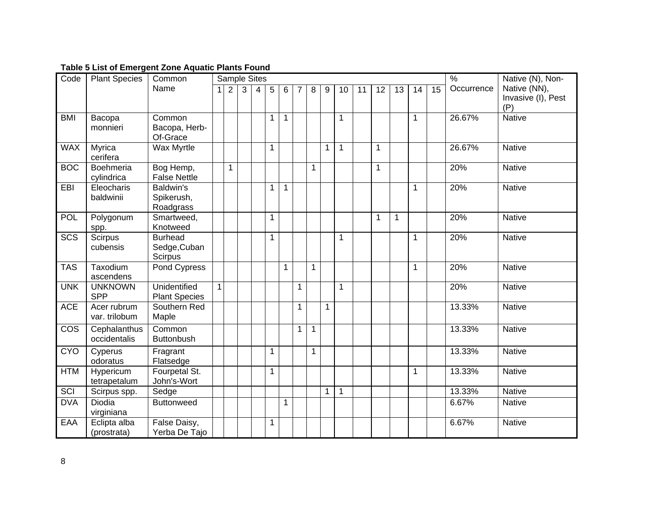### **Table 5 List of Emergent Zone Aquatic Plants Found**

| Code       | <b>Plant Species</b>         | Common                                      |              |                |              | <b>Sample Sites</b> |              |              |   |   |              |              |    |              |             |    |    | $\frac{9}{6}$ | Native (N), Non-                          |
|------------|------------------------------|---------------------------------------------|--------------|----------------|--------------|---------------------|--------------|--------------|---|---|--------------|--------------|----|--------------|-------------|----|----|---------------|-------------------------------------------|
|            |                              | Name                                        | 1            | $\overline{2}$ | $\mathbf{3}$ | $\overline{4}$      | 5            | 6            | 7 | 8 | 9            | 10           | 11 | 12           | 13          | 14 | 15 | Occurrence    | Native (NN),<br>Invasive (I), Pest<br>(P) |
| <b>BMI</b> | Bacopa<br>monnieri           | Common<br>Bacopa, Herb-<br>Of-Grace         |              |                |              |                     | $\mathbf{1}$ | $\mathbf{1}$ |   |   |              | 1            |    |              |             | 1  |    | 26.67%        | <b>Native</b>                             |
| <b>WAX</b> | Myrica<br>cerifera           | Wax Myrtle                                  |              |                |              |                     | 1            |              |   |   | 1            | 1            |    | $\mathbf{1}$ |             |    |    | 26.67%        | <b>Native</b>                             |
| <b>BOC</b> | Boehmeria<br>cylindrica      | Bog Hemp,<br><b>False Nettle</b>            |              | $\mathbf{1}$   |              |                     |              |              |   | 1 |              |              |    | 1            |             |    |    | 20%           | <b>Native</b>                             |
| EBI        | Eleocharis<br>baldwinii      | <b>Baldwin's</b><br>Spikerush,<br>Roadgrass |              |                |              |                     | $\mathbf{1}$ | $\mathbf{1}$ |   |   |              |              |    |              |             | 1  |    | 20%           | <b>Native</b>                             |
| POL        | Polygonum<br>spp.            | Smartweed,<br>Knotweed                      |              |                |              |                     | 1            |              |   |   |              |              |    | 1            | $\mathbf 1$ |    |    | 20%           | <b>Native</b>                             |
| <b>SCS</b> | <b>Scirpus</b><br>cubensis   | <b>Burhead</b><br>Sedge, Cuban<br>Scirpus   |              |                |              |                     | 1            |              |   |   |              | 1            |    |              |             | 1  |    | 20%           | <b>Native</b>                             |
| <b>TAS</b> | Taxodium<br>ascendens        | Pond Cypress                                |              |                |              |                     |              | 1            |   | 1 |              |              |    |              |             | 1  |    | 20%           | <b>Native</b>                             |
| <b>UNK</b> | <b>UNKNOWN</b><br><b>SPP</b> | Unidentified<br><b>Plant Species</b>        | $\mathbf{1}$ |                |              |                     |              |              | 1 |   |              | 1            |    |              |             |    |    | 20%           | <b>Native</b>                             |
| <b>ACE</b> | Acer rubrum<br>var. trilobum | Southern Red<br>Maple                       |              |                |              |                     |              |              | 1 |   | 1            |              |    |              |             |    |    | 13.33%        | <b>Native</b>                             |
| <b>COS</b> | Cephalanthus<br>occidentalis | Common<br><b>Buttonbush</b>                 |              |                |              |                     |              |              | 1 | 1 |              |              |    |              |             |    |    | 13.33%        | <b>Native</b>                             |
| <b>CYO</b> | Cyperus<br>odoratus          | Fragrant<br>Flatsedge                       |              |                |              |                     | $\mathbf{1}$ |              |   | 1 |              |              |    |              |             |    |    | 13.33%        | <b>Native</b>                             |
| <b>HTM</b> | Hypericum<br>tetrapetalum    | Fourpetal St.<br>John's-Wort                |              |                |              |                     | 1            |              |   |   |              |              |    |              |             | 1  |    | 13.33%        | <b>Native</b>                             |
| SCI        | Scirpus spp.                 | Sedge                                       |              |                |              |                     |              |              |   |   | $\mathbf{1}$ | $\mathbf{1}$ |    |              |             |    |    | 13.33%        | <b>Native</b>                             |
| <b>DVA</b> | Diodia<br>virginiana         | <b>Buttonweed</b>                           |              |                |              |                     |              | 1            |   |   |              |              |    |              |             |    |    | 6.67%         | <b>Native</b>                             |
| EAA        | Eclipta alba<br>(prostrata)  | False Daisy,<br>Yerba De Tajo               |              |                |              |                     | 1            |              |   |   |              |              |    |              |             |    |    | 6.67%         | <b>Native</b>                             |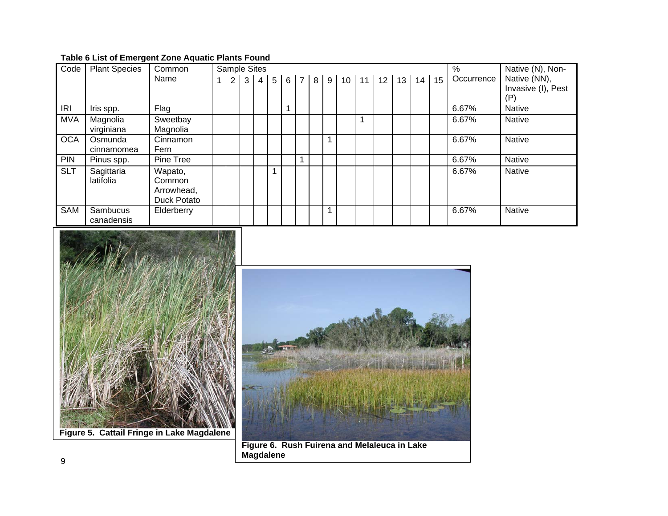# **Table 6 List of Emergent Zone Aquatic Plants Found**

| Code       | <b>Plant Species</b> | Common      | $\frac{0}{0}$<br><b>Sample Sites</b> |   |   |   |   |   |   |   |    |    |    |    | Native (N), Non- |    |            |                    |
|------------|----------------------|-------------|--------------------------------------|---|---|---|---|---|---|---|----|----|----|----|------------------|----|------------|--------------------|
|            |                      | Name        | 2                                    | 3 | 4 | 5 | 6 | 7 | 8 | 9 | 10 | 11 | 12 | 13 | 14               | 15 | Occurrence | Native (NN),       |
|            |                      |             |                                      |   |   |   |   |   |   |   |    |    |    |    |                  |    |            | Invasive (I), Pest |
|            |                      |             |                                      |   |   |   |   |   |   |   |    |    |    |    |                  |    |            | (P)                |
| <b>IRI</b> | Iris spp.            | Flag        |                                      |   |   |   |   |   |   |   |    |    |    |    |                  |    | 6.67%      | <b>Native</b>      |
| <b>MVA</b> | Magnolia             | Sweetbay    |                                      |   |   |   |   |   |   |   |    | 1  |    |    |                  |    | 6.67%      | <b>Native</b>      |
|            | virginiana           | Magnolia    |                                      |   |   |   |   |   |   |   |    |    |    |    |                  |    |            |                    |
| <b>OCA</b> | Osmunda              | Cinnamon    |                                      |   |   |   |   |   |   |   |    |    |    |    |                  |    | 6.67%      | <b>Native</b>      |
|            | cinnamomea           | Fern        |                                      |   |   |   |   |   |   |   |    |    |    |    |                  |    |            |                    |
| <b>PIN</b> | Pinus spp.           | Pine Tree   |                                      |   |   |   |   |   |   |   |    |    |    |    |                  |    | 6.67%      | <b>Native</b>      |
| <b>SLT</b> | Sagittaria           | Wapato,     |                                      |   |   |   |   |   |   |   |    |    |    |    |                  |    | 6.67%      | <b>Native</b>      |
|            | latifolia            | Common      |                                      |   |   |   |   |   |   |   |    |    |    |    |                  |    |            |                    |
|            |                      | Arrowhead,  |                                      |   |   |   |   |   |   |   |    |    |    |    |                  |    |            |                    |
|            |                      | Duck Potato |                                      |   |   |   |   |   |   |   |    |    |    |    |                  |    |            |                    |
| SAM        | Sambucus             | Elderberry  |                                      |   |   |   |   |   |   | 1 |    |    |    |    |                  |    | 6.67%      | <b>Native</b>      |
|            | canadensis           |             |                                      |   |   |   |   |   |   |   |    |    |    |    |                  |    |            |                    |



**Figure 5. Cattail Fringe in Lake Magdalene**



**Figure 6. Rush Fuirena and Melaleuca in Lake Magdalene** <sup>9</sup>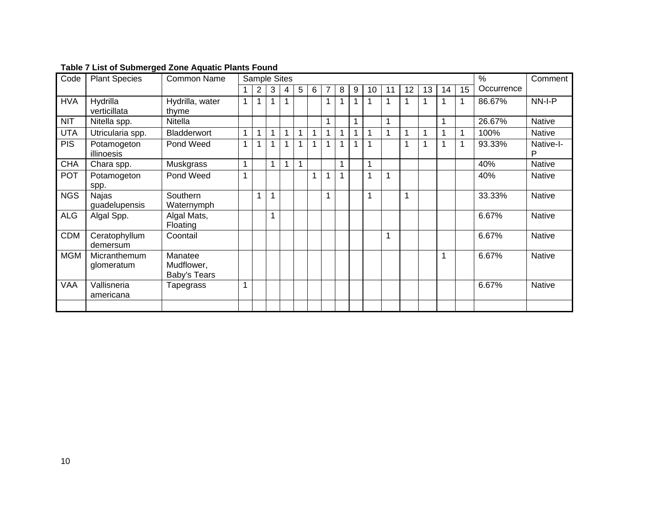| Code       | <b>Plant Species</b>          | <b>Common Name</b>                    |             |   | <b>Sample Sites</b> |   |   |   |   |   |   |    |    |    |    |    | Comment |            |                |
|------------|-------------------------------|---------------------------------------|-------------|---|---------------------|---|---|---|---|---|---|----|----|----|----|----|---------|------------|----------------|
|            |                               |                                       |             | 2 | 3                   | 4 | 5 | 6 | 7 | 8 | 9 | 10 | 11 | 12 | 13 | 14 | 15      | Occurrence |                |
| <b>HVA</b> | Hydrilla<br>verticillata      | Hydrilla, water<br>thyme              | $\mathbf 1$ | 1 |                     |   |   |   | 1 |   |   |    | 1  |    |    |    |         | 86.67%     | NN-I-P         |
| <b>NIT</b> | Nitella spp.                  | Nitella                               |             |   |                     |   |   |   | 1 |   | 1 |    | 1  |    |    |    |         | 26.67%     | <b>Native</b>  |
| <b>UTA</b> | Utricularia spp.              | Bladderwort                           | 1           | 1 | 1                   | 1 | 1 | 1 | 1 | 1 | 1 |    | 1  |    |    | 1  |         | 100%       | Native         |
| <b>PIS</b> | Potamogeton<br>illinoesis     | Pond Weed                             | 1           | 1 | 1                   | 1 | 1 |   |   |   |   |    |    | 1  |    |    |         | 93.33%     | Native-I-<br>P |
| <b>CHA</b> | Chara spp.                    | Muskgrass                             | 1           |   | 1                   | 1 | 1 |   |   | 1 |   | 1  |    |    |    |    |         | 40%        | <b>Native</b>  |
| <b>POT</b> | Potamogeton<br>spp.           | Pond Weed                             | 1           |   |                     |   |   |   |   |   |   |    | 1  |    |    |    |         | 40%        | <b>Native</b>  |
| <b>NGS</b> | <b>Najas</b><br>guadelupensis | <b>Southern</b><br>Waternymph         |             | 1 |                     |   |   |   |   |   |   |    |    | 1  |    |    |         | 33.33%     | <b>Native</b>  |
| <b>ALG</b> | Algal Spp.                    | Algal Mats,<br>Floating               |             |   | 1                   |   |   |   |   |   |   |    |    |    |    |    |         | 6.67%      | Native         |
| <b>CDM</b> | Ceratophyllum<br>demersum     | Coontail                              |             |   |                     |   |   |   |   |   |   |    |    |    |    |    |         | 6.67%      | <b>Native</b>  |
| <b>MGM</b> | Micranthemum<br>glomeratum    | Manatee<br>Mudflower,<br>Baby's Tears |             |   |                     |   |   |   |   |   |   |    |    |    |    |    |         | 6.67%      | <b>Native</b>  |
| <b>VAA</b> | Vallisneria<br>americana      | Tapegrass                             | 1           |   |                     |   |   |   |   |   |   |    |    |    |    |    |         | 6.67%      | <b>Native</b>  |
|            |                               |                                       |             |   |                     |   |   |   |   |   |   |    |    |    |    |    |         |            |                |

**Table 7 List of Submerged Zone Aquatic Plants Found**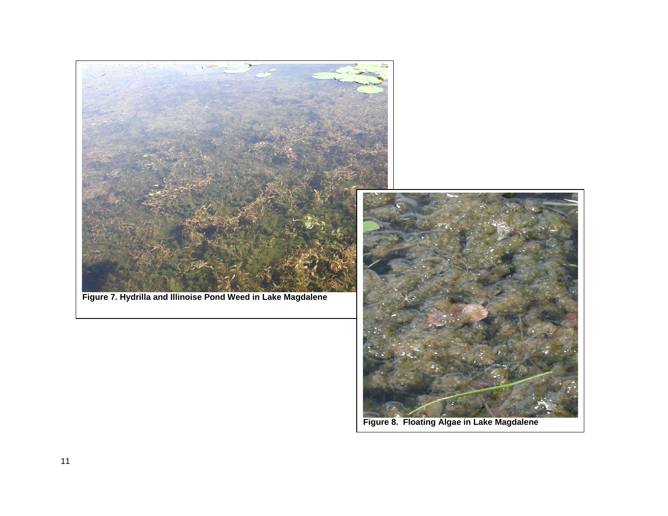

**Figure 8. Floating Algae in Lake Magdalene**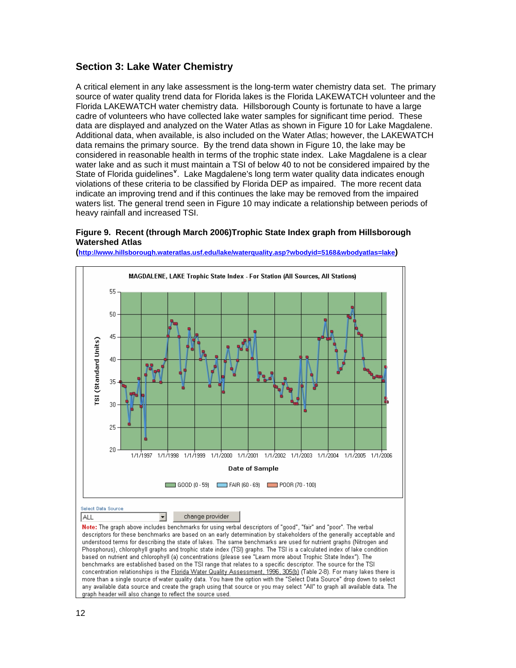# **Section 3: Lake Water Chemistry**

A critical element in any lake assessment is the long-term water chemistry data set. The primary source of water quality trend data for Florida lakes is the Florida LAKEWATCH volunteer and the Florida LAKEWATCH water chemistry data. Hillsborough County is fortunate to have a large cadre of volunteers who have collected lake water samples for significant time period. These data are displayed and analyzed on the Water Atlas as shown in Figure 10 for Lake Magdalene. Additional data, when available, is also included on the Water Atlas; however, the LAKEWATCH data remains the primary source. By the trend data shown in Figure 10, the lake may be considered in reasonable health in terms of the trophic state index. Lake Magdalene is a clear water lake and as such it must maintain a TSI of below 40 to not be considered impaired by the State of Florida guidelines<sup>[v](#page-15-2)</sup>. Lake Magdalene's long term water quality data indicates enough violations of these criteria to be classified by Florida DEP as impaired. The more recent data indicate an improving trend and if this continues the lake may be removed from the impaired waters list. The general trend seen in Figure 10 may indicate a relationship between periods of heavy rainfall and increased TSI.

### **Figure 9. Recent (through March 2006)Trophic State Index graph from Hillsborough Watershed Atlas**



**[\(http://www.hillsborough.wateratlas.usf.edu/lake/waterquality.asp?wbodyid=5168&wbodyatlas=lake\)](http://www.hillsborough.wateratlas.usf.edu/lake/waterquality.asp?wbodyid=5168&wbodyatlas=lake)**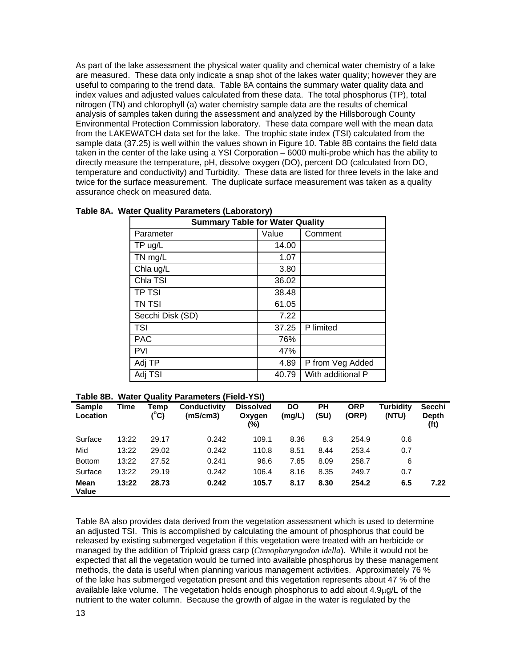As part of the lake assessment the physical water quality and chemical water chemistry of a lake are measured. These data only indicate a snap shot of the lakes water quality; however they are useful to comparing to the trend data. Table 8A contains the summary water quality data and index values and adjusted values calculated from these data. The total phosphorus (TP), total nitrogen (TN) and chlorophyll (a) water chemistry sample data are the results of chemical analysis of samples taken during the assessment and analyzed by the Hillsborough County Environmental Protection Commission laboratory. These data compare well with the mean data from the LAKEWATCH data set for the lake. The trophic state index (TSI) calculated from the sample data (37.25) is well within the values shown in Figure 10. Table 8B contains the field data taken in the center of the lake using a YSI Corporation – 6000 multi-probe which has the ability to directly measure the temperature, pH, dissolve oxygen (DO), percent DO (calculated from DO, temperature and conductivity) and Turbidity. These data are listed for three levels in the lake and twice for the surface measurement. The duplicate surface measurement was taken as a quality assurance check on measured data.

| <b>Summary Table for Water Quality</b> |       |                   |
|----------------------------------------|-------|-------------------|
| Parameter                              | Value | Comment           |
| TP ug/L                                | 14.00 |                   |
| TN mg/L                                | 1.07  |                   |
| Chla ug/L                              | 3.80  |                   |
| Chla TSI                               | 36.02 |                   |
| <b>TP TSI</b>                          | 38.48 |                   |
| <b>TN TSI</b>                          | 61.05 |                   |
| Secchi Disk (SD)                       | 7.22  |                   |
| <b>TSI</b>                             | 37.25 | P limited         |
| <b>PAC</b>                             | 76%   |                   |
| <b>PVI</b>                             | 47%   |                   |
| Adj TP                                 | 4.89  | P from Veg Added  |
| Adj TSI                                | 40.79 | With additional P |

#### **Table 8A. Water Quality Parameters (Laboratory)**

#### **Table 8B. Water Quality Parameters (Field-YSI)**

| <b>Sample</b><br>Location | Time  | Temp<br>(°C) | <b>Conductivity</b><br>(mS/cm3) | <b>Dissolved</b><br>Oxygen<br>(%) | DO<br>(mg/L) | PН<br>(SU) | <b>ORP</b><br>(ORP) | <b>Turbidity</b><br>(NTU) | <b>Secchi</b><br><b>Depth</b><br>(ft) |
|---------------------------|-------|--------------|---------------------------------|-----------------------------------|--------------|------------|---------------------|---------------------------|---------------------------------------|
| Surface                   | 13:22 | 29.17        | 0.242                           | 109.1                             | 8.36         | 8.3        | 254.9               | 0.6                       |                                       |
| Mid                       | 13:22 | 29.02        | 0.242                           | 110.8                             | 8.51         | 8.44       | 253.4               | 0.7                       |                                       |
| <b>Bottom</b>             | 13:22 | 27.52        | 0.241                           | 96.6                              | 7.65         | 8.09       | 258.7               | 6                         |                                       |
| Surface                   | 13:22 | 29.19        | 0.242                           | 106.4                             | 8.16         | 8.35       | 249.7               | 0.7                       |                                       |
| Mean<br>Value             | 13:22 | 28.73        | 0.242                           | 105.7                             | 8.17         | 8.30       | 254.2               | 6.5                       | 7.22                                  |

Table 8A also provides data derived from the vegetation assessment which is used to determine an adjusted TSI. This is accomplished by calculating the amount of phosphorus that could be released by existing submerged vegetation if this vegetation were treated with an herbicide or managed by the addition of Triploid grass carp (*Ctenopharyngodon idella*). While it would not be expected that all the vegetation would be turned into available phosphorus by these management methods, the data is useful when planning various management activities. Approximately 76 % of the lake has submerged vegetation present and this vegetation represents about 47 % of the available lake volume. The vegetation holds enough phosphorus to add about 4.9μg/L of the nutrient to the water column. Because the growth of algae in the water is regulated by the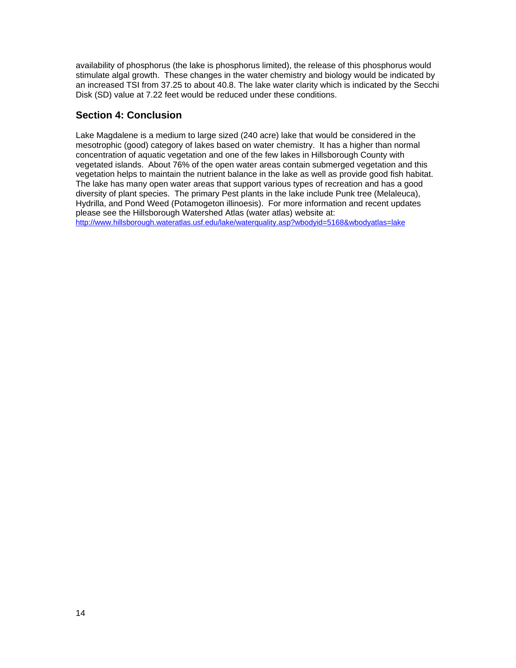availability of phosphorus (the lake is phosphorus limited), the release of this phosphorus would stimulate algal growth. These changes in the water chemistry and biology would be indicated by an increased TSI from 37.25 to about 40.8. The lake water clarity which is indicated by the Secchi Disk (SD) value at 7.22 feet would be reduced under these conditions.

# **Section 4: Conclusion**

Lake Magdalene is a medium to large sized (240 acre) lake that would be considered in the mesotrophic (good) category of lakes based on water chemistry. It has a higher than normal concentration of aquatic vegetation and one of the few lakes in Hillsborough County with vegetated islands. About 76% of the open water areas contain submerged vegetation and this vegetation helps to maintain the nutrient balance in the lake as well as provide good fish habitat. The lake has many open water areas that support various types of recreation and has a good diversity of plant species. The primary Pest plants in the lake include Punk tree (Melaleuca), Hydrilla, and Pond Weed (Potamogeton illinoesis). For more information and recent updates please see the Hillsborough Watershed Atlas (water atlas) website at:

<http://www.hillsborough.wateratlas.usf.edu/lake/waterquality.asp?wbodyid=5168&wbodyatlas=lake>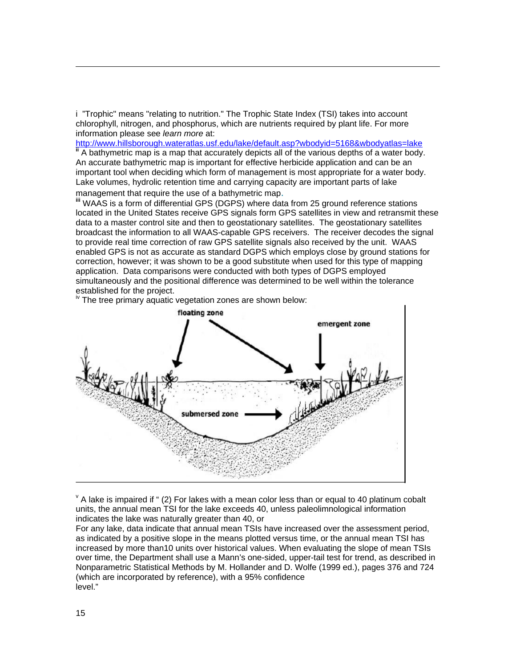i "Trophic" means "relating to nutrition." The Trophic State Index (TSI) takes into account chlorophyll, nitrogen, and phosphorus, which are nutrients required by plant life. For more information please see *learn more* at:<br>http://www.hillsborough.wateratlas.usf.edu/lake/default.asp?wbodyid=5168&wbodyatlas=lake

<sup>If</sup> A bathymetric map is a map that accurately depicts all of the various depths of a water body. An accurate bathymetric map is important for effective herbicide application and can be an important tool when deciding which form of management is most appropriate for a water body. Lake volumes, hydrolic retention time and carrying capacity are important parts of lake

management that require the use of a bathymetric map.<br> **iii** WAAS is a form of differential GPS (DGPS) where data from 25 ground reference stations located in the United States receive GPS signals form GPS satellites in view and retransmit these data to a master control site and then to geostationary satellites. The geostationary satellites broadcast the information to all WAAS-capable GPS receivers. The receiver decodes the signal to provide real time correction of raw GPS satellite signals also received by the unit. WAAS enabled GPS is not as accurate as standard DGPS which employs close by ground stations for correction, however; it was shown to be a good substitute when used for this type of mapping application. Data comparisons were conducted with both types of DGPS employed simultaneously and the positional difference was determined to be well within the tolerance established for the project.

<sup>iv</sup> The tree primary aquatic vegetation zones are shown below:



 $\rm{v}$  A lake is impaired if  $\rm{u}$  (2) For lakes with a mean color less than or equal to 40 platinum cobalt units, the annual mean TSI for the lake exceeds 40, unless paleolimnological information indicates the lake was naturally greater than 40, or

For any lake, data indicate that annual mean TSIs have increased over the assessment period, as indicated by a positive slope in the means plotted versus time, or the annual mean TSI has increased by more than10 units over historical values. When evaluating the slope of mean TSIs over time, the Department shall use a Mann's one-sided, upper-tail test for trend, as described in Nonparametric Statistical Methods by M. Hollander and D. Wolfe (1999 ed.), pages 376 and 724 (which are incorporated by reference), with a 95% confidence level."

l